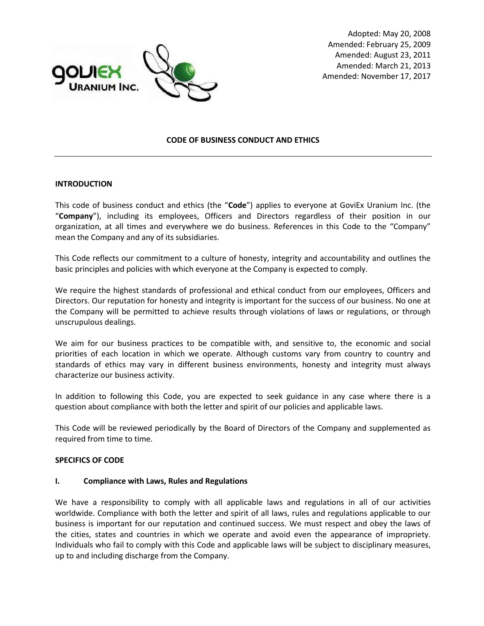

Adopted: May 20, 2008 Amended: February 25, 2009 Amended: August 23, 2011 Amended: March 21, 2013 Amended: November 17, 2017

### **CODE OF BUSINESS CONDUCT AND ETHICS**

#### **INTRODUCTION**

This code of business conduct and ethics (the "**Code**") applies to everyone at GoviEx Uranium Inc. (the "**Company**"), including its employees, Officers and Directors regardless of their position in our organization, at all times and everywhere we do business. References in this Code to the "Company" mean the Company and any of its subsidiaries.

This Code reflects our commitment to a culture of honesty, integrity and accountability and outlines the basic principles and policies with which everyone at the Company is expected to comply.

We require the highest standards of professional and ethical conduct from our employees, Officers and Directors. Our reputation for honesty and integrity is important for the success of our business. No one at the Company will be permitted to achieve results through violations of laws or regulations, or through unscrupulous dealings.

We aim for our business practices to be compatible with, and sensitive to, the economic and social priorities of each location in which we operate. Although customs vary from country to country and standards of ethics may vary in different business environments, honesty and integrity must always characterize our business activity.

In addition to following this Code, you are expected to seek guidance in any case where there is a question about compliance with both the letter and spirit of our policies and applicable laws.

This Code will be reviewed periodically by the Board of Directors of the Company and supplemented as required from time to time.

#### **SPECIFICS OF CODE**

#### **I. Compliance with Laws, Rules and Regulations**

We have a responsibility to comply with all applicable laws and regulations in all of our activities worldwide. Compliance with both the letter and spirit of all laws, rules and regulations applicable to our business is important for our reputation and continued success. We must respect and obey the laws of the cities, states and countries in which we operate and avoid even the appearance of impropriety. Individuals who fail to comply with this Code and applicable laws will be subject to disciplinary measures, up to and including discharge from the Company.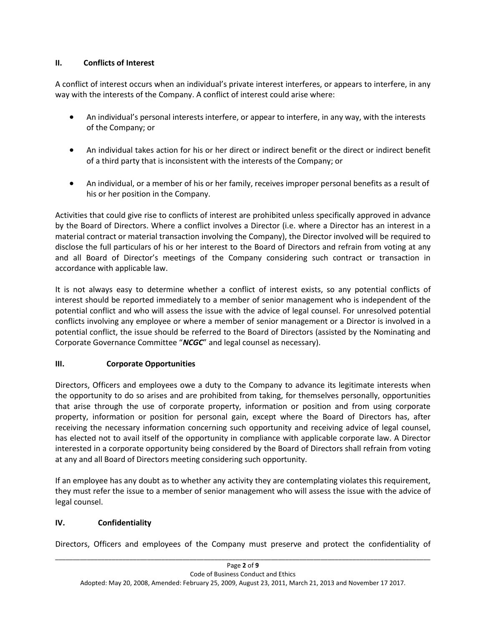## **II. Conflicts of Interest**

A conflict of interest occurs when an individual's private interest interferes, or appears to interfere, in any way with the interests of the Company. A conflict of interest could arise where:

- An individual's personal interests interfere, or appear to interfere, in any way, with the interests of the Company; or
- An individual takes action for his or her direct or indirect benefit or the direct or indirect benefit of a third party that is inconsistent with the interests of the Company; or
- An individual, or a member of his or her family, receives improper personal benefits as a result of his or her position in the Company.

Activities that could give rise to conflicts of interest are prohibited unless specifically approved in advance by the Board of Directors. Where a conflict involves a Director (i.e. where a Director has an interest in a material contract or material transaction involving the Company), the Director involved will be required to disclose the full particulars of his or her interest to the Board of Directors and refrain from voting at any and all Board of Director's meetings of the Company considering such contract or transaction in accordance with applicable law.

It is not always easy to determine whether a conflict of interest exists, so any potential conflicts of interest should be reported immediately to a member of senior management who is independent of the potential conflict and who will assess the issue with the advice of legal counsel. For unresolved potential conflicts involving any employee or where a member of senior management or a Director is involved in a potential conflict, the issue should be referred to the Board of Directors (assisted by the Nominating and Corporate Governance Committee "*NCGC*" and legal counsel as necessary).

# **III. Corporate Opportunities**

Directors, Officers and employees owe a duty to the Company to advance its legitimate interests when the opportunity to do so arises and are prohibited from taking, for themselves personally, opportunities that arise through the use of corporate property, information or position and from using corporate property, information or position for personal gain, except where the Board of Directors has, after receiving the necessary information concerning such opportunity and receiving advice of legal counsel, has elected not to avail itself of the opportunity in compliance with applicable corporate law. A Director interested in a corporate opportunity being considered by the Board of Directors shall refrain from voting at any and all Board of Directors meeting considering such opportunity.

If an employee has any doubt as to whether any activity they are contemplating violates this requirement, they must refer the issue to a member of senior management who will assess the issue with the advice of legal counsel.

# **IV. Confidentiality**

\_\_\_\_\_\_\_\_\_\_\_\_\_\_\_\_\_\_\_\_\_\_\_\_\_\_\_\_\_\_\_\_\_\_\_\_\_\_\_\_\_\_\_\_\_\_\_\_\_\_\_\_\_\_\_\_\_\_\_\_\_\_\_\_\_\_\_\_\_\_\_\_\_\_\_\_\_\_\_\_\_\_\_\_\_\_\_\_\_\_\_\_\_\_\_\_\_\_\_\_\_\_\_\_\_\_ Directors, Officers and employees of the Company must preserve and protect the confidentiality of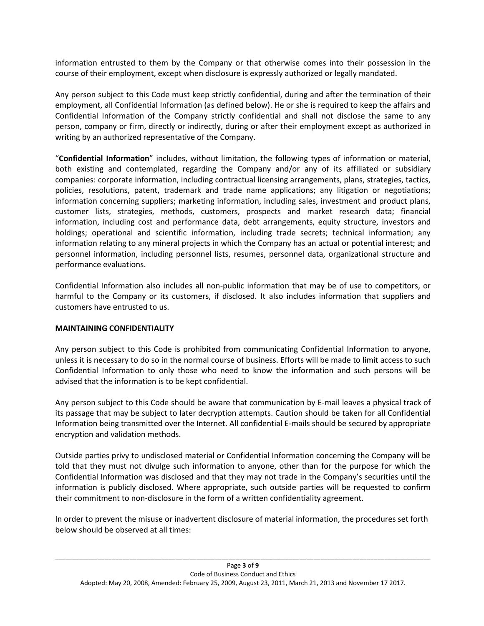information entrusted to them by the Company or that otherwise comes into their possession in the course of their employment, except when disclosure is expressly authorized or legally mandated.

Any person subject to this Code must keep strictly confidential, during and after the termination of their employment, all Confidential Information (as defined below). He or she is required to keep the affairs and Confidential Information of the Company strictly confidential and shall not disclose the same to any person, company or firm, directly or indirectly, during or after their employment except as authorized in writing by an authorized representative of the Company.

"**Confidential Information**" includes, without limitation, the following types of information or material, both existing and contemplated, regarding the Company and/or any of its affiliated or subsidiary companies: corporate information, including contractual licensing arrangements, plans, strategies, tactics, policies, resolutions, patent, trademark and trade name applications; any litigation or negotiations; information concerning suppliers; marketing information, including sales, investment and product plans, customer lists, strategies, methods, customers, prospects and market research data; financial information, including cost and performance data, debt arrangements, equity structure, investors and holdings; operational and scientific information, including trade secrets; technical information; any information relating to any mineral projects in which the Company has an actual or potential interest; and personnel information, including personnel lists, resumes, personnel data, organizational structure and performance evaluations.

Confidential Information also includes all non-public information that may be of use to competitors, or harmful to the Company or its customers, if disclosed. It also includes information that suppliers and customers have entrusted to us.

### **MAINTAINING CONFIDENTIALITY**

Any person subject to this Code is prohibited from communicating Confidential Information to anyone, unless it is necessary to do so in the normal course of business. Efforts will be made to limit access to such Confidential Information to only those who need to know the information and such persons will be advised that the information is to be kept confidential.

Any person subject to this Code should be aware that communication by E-mail leaves a physical track of its passage that may be subject to later decryption attempts. Caution should be taken for all Confidential Information being transmitted over the Internet. All confidential E-mails should be secured by appropriate encryption and validation methods.

Outside parties privy to undisclosed material or Confidential Information concerning the Company will be told that they must not divulge such information to anyone, other than for the purpose for which the Confidential Information was disclosed and that they may not trade in the Company's securities until the information is publicly disclosed. Where appropriate, such outside parties will be requested to confirm their commitment to non-disclosure in the form of a written confidentiality agreement.

In order to prevent the misuse or inadvertent disclosure of material information, the procedures set forth below should be observed at all times: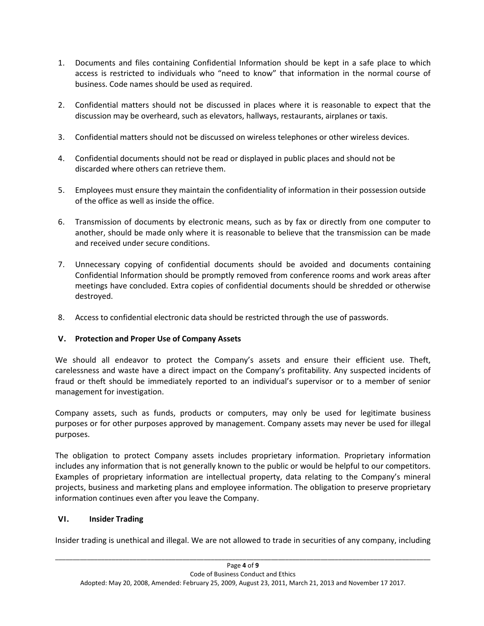- 1. Documents and files containing Confidential Information should be kept in a safe place to which access is restricted to individuals who "need to know" that information in the normal course of business. Code names should be used as required.
- 2. Confidential matters should not be discussed in places where it is reasonable to expect that the discussion may be overheard, such as elevators, hallways, restaurants, airplanes or taxis.
- 3. Confidential matters should not be discussed on wireless telephones or other wireless devices.
- 4. Confidential documents should not be read or displayed in public places and should not be discarded where others can retrieve them.
- 5. Employees must ensure they maintain the confidentiality of information in their possession outside of the office as well as inside the office.
- 6. Transmission of documents by electronic means, such as by fax or directly from one computer to another, should be made only where it is reasonable to believe that the transmission can be made and received under secure conditions.
- 7. Unnecessary copying of confidential documents should be avoided and documents containing Confidential Information should be promptly removed from conference rooms and work areas after meetings have concluded. Extra copies of confidential documents should be shredded or otherwise destroyed.
- 8. Access to confidential electronic data should be restricted through the use of passwords.

## **V. Protection and Proper Use of Company Assets**

We should all endeavor to protect the Company's assets and ensure their efficient use. Theft, carelessness and waste have a direct impact on the Company's profitability. Any suspected incidents of fraud or theft should be immediately reported to an individual's supervisor or to a member of senior management for investigation.

Company assets, such as funds, products or computers, may only be used for legitimate business purposes or for other purposes approved by management. Company assets may never be used for illegal purposes.

The obligation to protect Company assets includes proprietary information. Proprietary information includes any information that is not generally known to the public or would be helpful to our competitors. Examples of proprietary information are intellectual property, data relating to the Company's mineral projects, business and marketing plans and employee information. The obligation to preserve proprietary information continues even after you leave the Company.

## **VI. Insider Trading**

Insider trading is unethical and illegal. We are not allowed to trade in securities of any company, including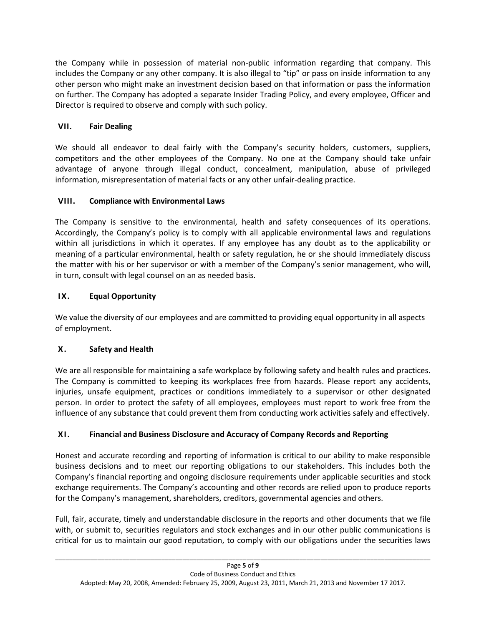the Company while in possession of material non-public information regarding that company. This includes the Company or any other company. It is also illegal to "tip" or pass on inside information to any other person who might make an investment decision based on that information or pass the information on further. The Company has adopted a separate Insider Trading Policy, and every employee, Officer and Director is required to observe and comply with such policy.

# **VII. Fair Dealing**

We should all endeavor to deal fairly with the Company's security holders, customers, suppliers, competitors and the other employees of the Company. No one at the Company should take unfair advantage of anyone through illegal conduct, concealment, manipulation, abuse of privileged information, misrepresentation of material facts or any other unfair-dealing practice.

# **VIII. Compliance with Environmental Laws**

The Company is sensitive to the environmental, health and safety consequences of its operations. Accordingly, the Company's policy is to comply with all applicable environmental laws and regulations within all jurisdictions in which it operates. If any employee has any doubt as to the applicability or meaning of a particular environmental, health or safety regulation, he or she should immediately discuss the matter with his or her supervisor or with a member of the Company's senior management, who will, in turn, consult with legal counsel on an as needed basis.

# **IX. Equal Opportunity**

We value the diversity of our employees and are committed to providing equal opportunity in all aspects of employment.

# **X. Safety and Health**

We are all responsible for maintaining a safe workplace by following safety and health rules and practices. The Company is committed to keeping its workplaces free from hazards. Please report any accidents, injuries, unsafe equipment, practices or conditions immediately to a supervisor or other designated person. In order to protect the safety of all employees, employees must report to work free from the influence of any substance that could prevent them from conducting work activities safely and effectively.

# **XI. Financial and Business Disclosure and Accuracy of Company Records and Reporting**

Honest and accurate recording and reporting of information is critical to our ability to make responsible business decisions and to meet our reporting obligations to our stakeholders. This includes both the Company's financial reporting and ongoing disclosure requirements under applicable securities and stock exchange requirements. The Company's accounting and other records are relied upon to produce reports for the Company's management, shareholders, creditors, governmental agencies and others.

Full, fair, accurate, timely and understandable disclosure in the reports and other documents that we file with, or submit to, securities regulators and stock exchanges and in our other public communications is critical for us to maintain our good reputation, to comply with our obligations under the securities laws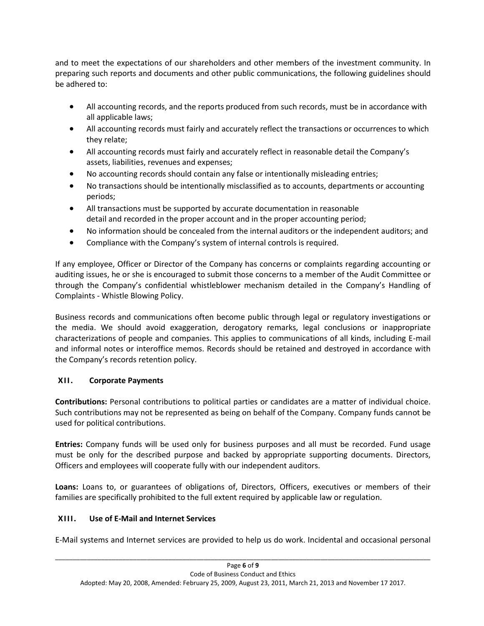and to meet the expectations of our shareholders and other members of the investment community. In preparing such reports and documents and other public communications, the following guidelines should be adhered to:

- All accounting records, and the reports produced from such records, must be in accordance with all applicable laws;
- All accounting records must fairly and accurately reflect the transactions or occurrences to which they relate;
- All accounting records must fairly and accurately reflect in reasonable detail the Company's assets, liabilities, revenues and expenses;
- No accounting records should contain any false or intentionally misleading entries;
- No transactions should be intentionally misclassified as to accounts, departments or accounting periods;
- All transactions must be supported by accurate documentation in reasonable detail and recorded in the proper account and in the proper accounting period;
- No information should be concealed from the internal auditors or the independent auditors; and
- Compliance with the Company's system of internal controls is required.

If any employee, Officer or Director of the Company has concerns or complaints regarding accounting or auditing issues, he or she is encouraged to submit those concerns to a member of the Audit Committee or through the Company's confidential whistleblower mechanism detailed in the Company's Handling of Complaints - Whistle Blowing Policy.

Business records and communications often become public through legal or regulatory investigations or the media. We should avoid exaggeration, derogatory remarks, legal conclusions or inappropriate characterizations of people and companies. This applies to communications of all kinds, including E-mail and informal notes or interoffice memos. Records should be retained and destroyed in accordance with the Company's records retention policy.

# **XII. Corporate Payments**

**Contributions:** Personal contributions to political parties or candidates are a matter of individual choice. Such contributions may not be represented as being on behalf of the Company. Company funds cannot be used for political contributions.

**Entries:** Company funds will be used only for business purposes and all must be recorded. Fund usage must be only for the described purpose and backed by appropriate supporting documents. Directors, Officers and employees will cooperate fully with our independent auditors.

**Loans:** Loans to, or guarantees of obligations of, Directors, Officers, executives or members of their families are specifically prohibited to the full extent required by applicable law or regulation.

# **XIII. Use of E-Mail and Internet Services**

E-Mail systems and Internet services are provided to help us do work. Incidental and occasional personal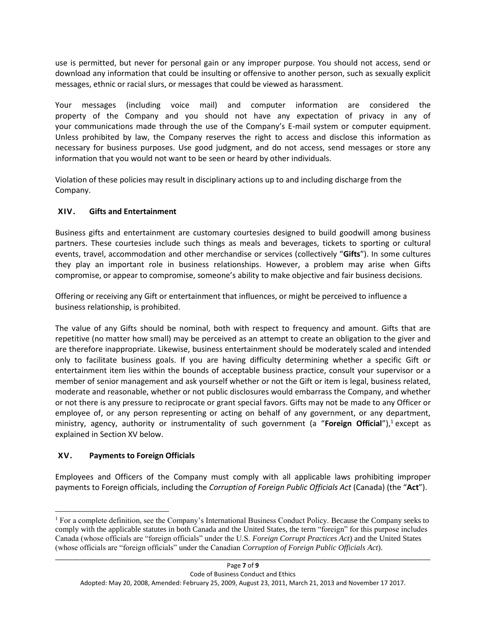use is permitted, but never for personal gain or any improper purpose. You should not access, send or download any information that could be insulting or offensive to another person, such as sexually explicit messages, ethnic or racial slurs, or messages that could be viewed as harassment.

Your messages (including voice mail) and computer information are considered the property of the Company and you should not have any expectation of privacy in any of your communications made through the use of the Company's E-mail system or computer equipment. Unless prohibited by law, the Company reserves the right to access and disclose this information as necessary for business purposes. Use good judgment, and do not access, send messages or store any information that you would not want to be seen or heard by other individuals.

Violation of these policies may result in disciplinary actions up to and including discharge from the Company.

## **XIV. Gifts and Entertainment**

Business gifts and entertainment are customary courtesies designed to build goodwill among business partners. These courtesies include such things as meals and beverages, tickets to sporting or cultural events, travel, accommodation and other merchandise or services (collectively "**Gifts**"). In some cultures they play an important role in business relationships. However, a problem may arise when Gifts compromise, or appear to compromise, someone's ability to make objective and fair business decisions.

Offering or receiving any Gift or entertainment that influences, or might be perceived to influence a business relationship, is prohibited.

The value of any Gifts should be nominal, both with respect to frequency and amount. Gifts that are repetitive (no matter how small) may be perceived as an attempt to create an obligation to the giver and are therefore inappropriate. Likewise, business entertainment should be moderately scaled and intended only to facilitate business goals. If you are having difficulty determining whether a specific Gift or entertainment item lies within the bounds of acceptable business practice, consult your supervisor or a member of senior management and ask yourself whether or not the Gift or item is legal, business related, moderate and reasonable, whether or not public disclosures would embarrass the Company, and whether or not there is any pressure to reciprocate or grant special favors. Gifts may not be made to any Officer or employee of, or any person representing or acting on behalf of any government, or any department, ministry, agency, authority or instrumentality of such government (a "Foreign Official"),<sup>1</sup> except as explained in Section [XV](#page-6-0) below.

## <span id="page-6-0"></span>**XV. Payments to Foreign Officials**

 $\overline{a}$ 

Employees and Officers of the Company must comply with all applicable laws prohibiting improper payments to Foreign officials, including the *Corruption of Foreign Public Officials Act* (Canada) (the "**Act**").

<sup>1</sup> For a complete definition, see the Company's International Business Conduct Policy. Because the Company seeks to comply with the applicable statutes in both Canada and the United States, the term "foreign" for this purpose includes Canada (whose officials are "foreign officials" under the U.S. *Foreign Corrupt Practices Act*) and the United States (whose officials are "foreign officials" under the Canadian *Corruption of Foreign Public Officials Act*).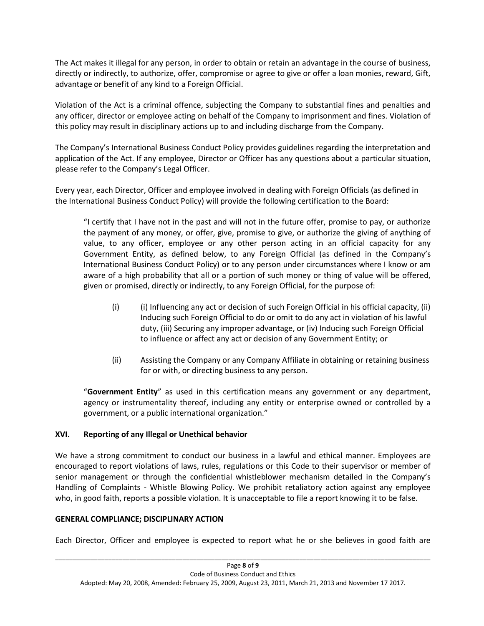The Act makes it illegal for any person, in order to obtain or retain an advantage in the course of business, directly or indirectly, to authorize, offer, compromise or agree to give or offer a loan monies, reward, Gift, advantage or benefit of any kind to a Foreign Official.

Violation of the Act is a criminal offence, subjecting the Company to substantial fines and penalties and any officer, director or employee acting on behalf of the Company to imprisonment and fines. Violation of this policy may result in disciplinary actions up to and including discharge from the Company.

The Company's International Business Conduct Policy provides guidelines regarding the interpretation and application of the Act. If any employee, Director or Officer has any questions about a particular situation, please refer to the Company's Legal Officer.

Every year, each Director, Officer and employee involved in dealing with Foreign Officials (as defined in the International Business Conduct Policy) will provide the following certification to the Board:

"I certify that I have not in the past and will not in the future offer, promise to pay, or authorize the payment of any money, or offer, give, promise to give, or authorize the giving of anything of value, to any officer, employee or any other person acting in an official capacity for any Government Entity, as defined below, to any Foreign Official (as defined in the Company's International Business Conduct Policy) or to any person under circumstances where I know or am aware of a high probability that all or a portion of such money or thing of value will be offered, given or promised, directly or indirectly, to any Foreign Official, for the purpose of:

- (i) (i) Influencing any act or decision of such Foreign Official in his official capacity, (ii) Inducing such Foreign Official to do or omit to do any act in violation of his lawful duty, (iii) Securing any improper advantage, or (iv) Inducing such Foreign Official to influence or affect any act or decision of any Government Entity; or
- (ii) Assisting the Company or any Company Affiliate in obtaining or retaining business for or with, or directing business to any person.

"**Government Entity**" as used in this certification means any government or any department, agency or instrumentality thereof, including any entity or enterprise owned or controlled by a government, or a public international organization."

## **XVI. Reporting of any Illegal or Unethical behavior**

We have a strong commitment to conduct our business in a lawful and ethical manner. Employees are encouraged to report violations of laws, rules, regulations or this Code to their supervisor or member of senior management or through the confidential whistleblower mechanism detailed in the Company's Handling of Complaints - Whistle Blowing Policy. We prohibit retaliatory action against any employee who, in good faith, reports a possible violation. It is unacceptable to file a report knowing it to be false.

### **GENERAL COMPLIANCE; DISCIPLINARY ACTION**

Each Director, Officer and employee is expected to report what he or she believes in good faith are